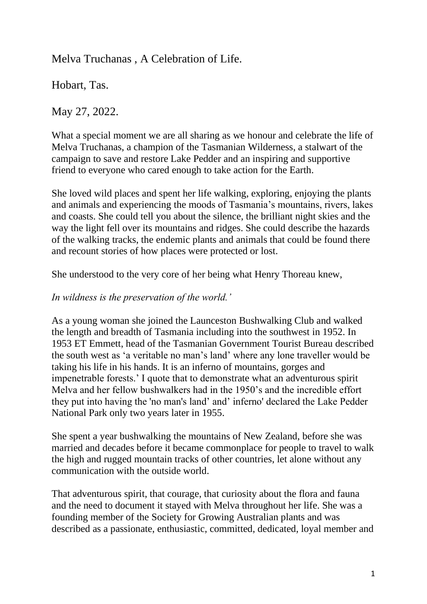Melva Truchanas , A Celebration of Life.

Hobart, Tas.

May 27, 2022.

What a special moment we are all sharing as we honour and celebrate the life of Melva Truchanas, a champion of the Tasmanian Wilderness, a stalwart of the campaign to save and restore Lake Pedder and an inspiring and supportive friend to everyone who cared enough to take action for the Earth.

She loved wild places and spent her life walking, exploring, enjoying the plants and animals and experiencing the moods of Tasmania's mountains, rivers, lakes and coasts. She could tell you about the silence, the brilliant night skies and the way the light fell over its mountains and ridges. She could describe the hazards of the walking tracks, the endemic plants and animals that could be found there and recount stories of how places were protected or lost.

She understood to the very core of her being what Henry Thoreau knew,

*In wildness is the preservation of the world.'* 

As a young woman she joined the Launceston Bushwalking Club and walked the length and breadth of Tasmania including into the southwest in 1952. In 1953 ET Emmett, head of the Tasmanian Government Tourist Bureau described the south west as 'a veritable no man's land' where any lone traveller would be taking his life in his hands. It is an inferno of mountains, gorges and impenetrable forests.' I quote that to demonstrate what an adventurous spirit Melva and her fellow bushwalkers had in the 1950's and the incredible effort they put into having the 'no man's land' and' inferno' declared the Lake Pedder National Park only two years later in 1955.

She spent a year bushwalking the mountains of New Zealand, before she was married and decades before it became commonplace for people to travel to walk the high and rugged mountain tracks of other countries, let alone without any communication with the outside world.

That adventurous spirit, that courage, that curiosity about the flora and fauna and the need to document it stayed with Melva throughout her life. She was a founding member of the Society for Growing Australian plants and was described as a passionate, enthusiastic, committed, dedicated, loyal member and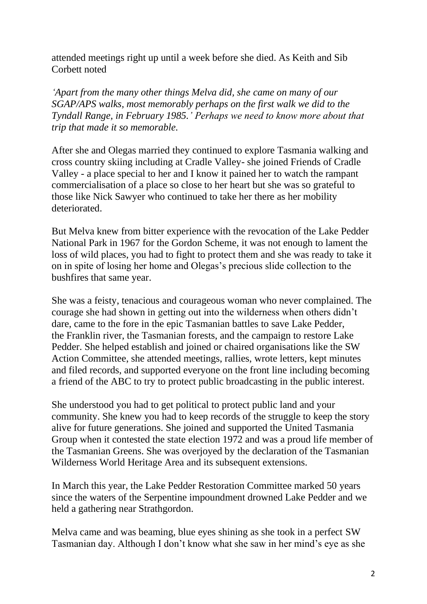attended meetings right up until a week before she died. As Keith and Sib Corbett noted

*'Apart from the many other things Melva did, she came on many of our SGAP/APS walks, most memorably perhaps on the first walk we did to the Tyndall Range, in February 1985.' Perhaps we need to know more about that trip that made it so memorable.*

After she and Olegas married they continued to explore Tasmania walking and cross country skiing including at Cradle Valley- she joined Friends of Cradle Valley - a place special to her and I know it pained her to watch the rampant commercialisation of a place so close to her heart but she was so grateful to those like Nick Sawyer who continued to take her there as her mobility deteriorated.

But Melva knew from bitter experience with the revocation of the Lake Pedder National Park in 1967 for the Gordon Scheme, it was not enough to lament the loss of wild places, you had to fight to protect them and she was ready to take it on in spite of losing her home and Olegas's precious slide collection to the bushfires that same year.

She was a feisty, tenacious and courageous woman who never complained. The courage she had shown in getting out into the wilderness when others didn't dare, came to the fore in the epic Tasmanian battles to save Lake Pedder, the Franklin river, the Tasmanian forests, and the campaign to restore Lake Pedder. She helped establish and joined or chaired organisations like the SW Action Committee, she attended meetings, rallies, wrote letters, kept minutes and filed records, and supported everyone on the front line including becoming a friend of the ABC to try to protect public broadcasting in the public interest.

She understood you had to get political to protect public land and your community. She knew you had to keep records of the struggle to keep the story alive for future generations. She joined and supported the United Tasmania Group when it contested the state election 1972 and was a proud life member of the Tasmanian Greens. She was overjoyed by the declaration of the Tasmanian Wilderness World Heritage Area and its subsequent extensions.

In March this year, the Lake Pedder Restoration Committee marked 50 years since the waters of the Serpentine impoundment drowned Lake Pedder and we held a gathering near Strathgordon.

Melva came and was beaming, blue eyes shining as she took in a perfect SW Tasmanian day. Although I don't know what she saw in her mind's eye as she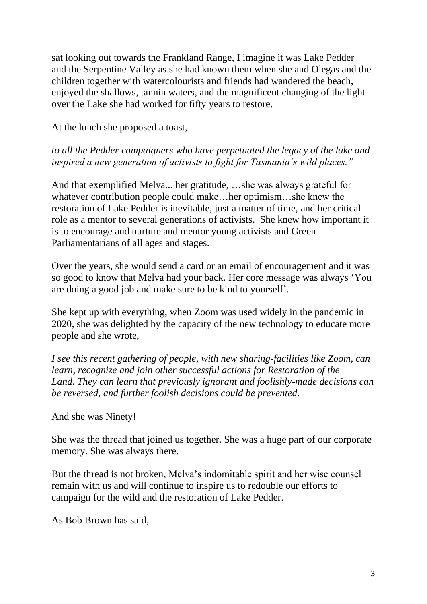sat looking out towards the Frankland Range, I imagine it was Lake Pedder and the Serpentine Valley as she had known them when she and Olegas and the children together with watercolourists and friends had wandered the beach, enjoyed the shallows, tannin waters, and the magnificent changing of the light over the Lake she had worked for fifty years to restore.

At the lunch she proposed a toast,

## *to all the Pedder campaigners who have perpetuated the legacy of the lake and inspired a new generation of activists to fight for Tasmania's wild places."*

And that exemplified Melva... her gratitude, …she was always grateful for whatever contribution people could make…her optimism…she knew the restoration of Lake Pedder is inevitable, just a matter of time, and her critical role as a mentor to several generations of activists. She knew how important it is to encourage and nurture and mentor young activists and Green Parliamentarians of all ages and stages.

Over the years, she would send a card or an email of encouragement and it was so good to know that Melva had your back. Her core message was always 'You are doing a good job and make sure to be kind to yourself'.

She kept up with everything, when Zoom was used widely in the pandemic in 2020, she was delighted by the capacity of the new technology to educate more people and she wrote,

*I see this recent gathering of people, with new sharing-facilities like Zoom, can learn, recognize and join other successful actions for Restoration of the Land. They can learn that previously ignorant and foolishly-made decisions can be reversed, and further foolish decisions could be prevented.*

And she was Ninety!

She was the thread that joined us together. She was a huge part of our corporate memory. She was always there.

But the thread is not broken, Melva's indomitable spirit and her wise counsel remain with us and will continue to inspire us to redouble our efforts to campaign for the wild and the restoration of Lake Pedder.

As Bob Brown has said,